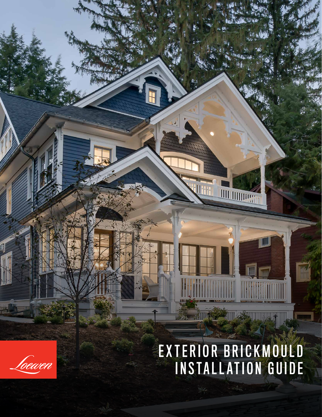## EXTERIOR BRICKMOULD INSTALLATION GUIDE

**KIII SAAN** 

**THE THEFT** 

h۲

**OA RAILLES** 

foewen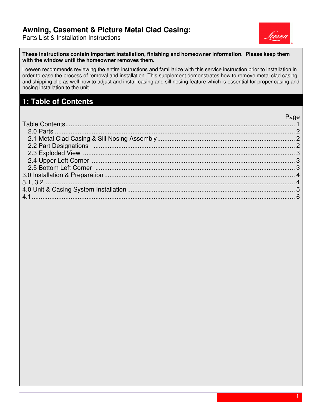Parts List & Installation Instructions



**These instructions contain important installation, finishing and homeowner information. Please keep them with the window until the homeowner removes them.** 

Loewen recommends reviewing the entire instructions and familiarize with this service instruction prior to installation in order to ease the process of removal and installation. This supplement demonstrates how to remove metal clad casing and shipping clip as well how to adjust and install casing and sill nosing feature which is essential for proper casing and nosing installation to the unit.

#### **1: Table of Contents**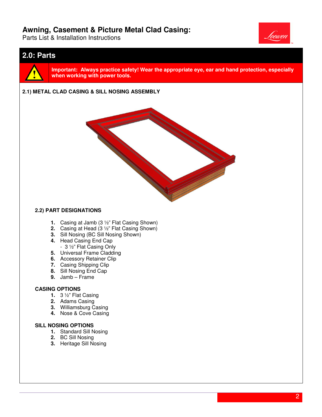Parts List & Installation Instructions



#### **2.0: Parts**



**Important: Always practice safety! Wear the appropriate eye, ear and hand protection, especially practice safety! eye, hand especially when working with power tools.**

# **2.1)** When working with power tools.<br>2.1) METAL CLAD CASING & SILL NOSING ASSEMBLY



#### **2.2) PART DESIGNATIONS**

- **1.** Casing at Jamb (3 <sup>1</sup>/<sub>2</sub>" Flat Casing Shown)
- **2.** Casing at Head (3 ½" Flat Casing Shown)
- **3.** Sill Nosing (BC Sill Nosing Shown)
- **4.** Head Casing End Cap
	- 3 ½" Flat Casing Only
- **5.** Universal Frame Cladding
- **6.** Accessory Retainer Clip
- **7.** Casing Shipping Clip
- **8.** Sill Nosing End Cap
- **9.** Jamb Frame

#### **CASING OPTIONS**

- **1.** 3 ½" Flat Casing
- **2.** Adams Casing
- **3.** Williamsburg Casing
- **4.** Nose & Cove Casing

#### **SILL NOSING OPTIONS**

- **1.** Standard Sill Nosing
- **2.** BC Sill Nosing
- **3.** Heritage Sill Nosing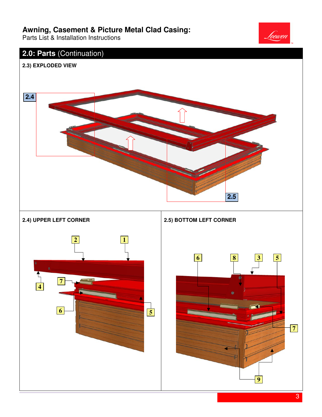Parts List & Installation Instructions



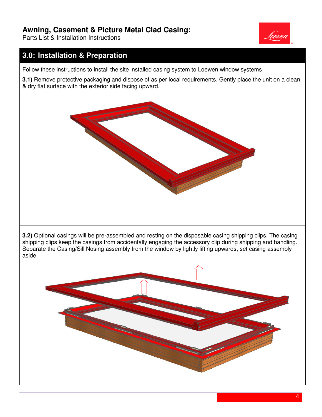Parts List & Installation Instructions

## **3.0: Installation & Preparation**

Follow these instructions to install the site installed casing system to Loewen window systems

**3.1)** Remove protective packaging and dispose of as per local requirements. Gently place the unit on a clean & dry flat surface with the exterior side facing upward.



**3.2)** Optional casings will be pre-assembled and resting on the disposable casing shipping clips. The casing shipping clips keep the casings from accidentally engaging the accessory clip during shipping and handling. Separate the Casing/Sill Nosing assembly from the window by lightly lifting upwards, set casing assembly aside.

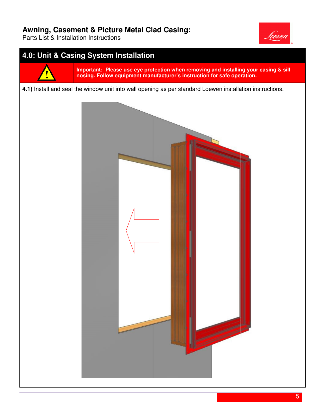Parts List & Installation Instructions



## **4.0: Unit & Casing System Installation**



**Important: Please use eye protection when removing and installing your casing & sill**  Important: Please use eye protection when removing and installing your casing & sill<br>nosing. Follow equipment manufacturer's instruction for safe operation.

#### **4.1)** Install and seal the window unit into wall opening as per standard Loewen installation instructions.